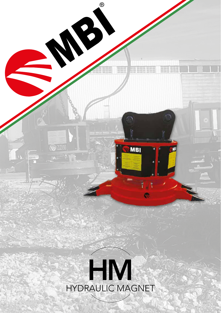